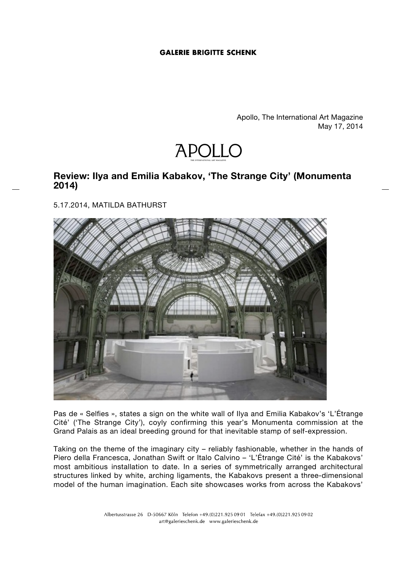## **GALERIE BRIGITTE SCHENK**

Apollo, The International Art Magazine May 17, 2014



## **Review: Ilya and Emilia Kabakov, 'The Strange City' (Monumenta 2014)**

5.17.2014, MATILDA BATHURST



Pas de « Selfies », states a sign on the white wall of Ilya and Emilia Kabakov's 'L'Étrange Cité' ('The Strange City'), coyly confirming this year's Monumenta commission at the Grand Palais as an ideal breeding ground for that inevitable stamp of self-expression.

Taking on the theme of the imaginary city – reliably fashionable, whether in the hands of Piero della Francesca, Jonathan Swift or Italo Calvino – 'L'Étrange Cité' is the Kabakovs' most ambitious installation to date. In a series of symmetrically arranged architectural structures linked by white, arching ligaments, the Kabakovs present a three-dimensional model of the human imagination. Each site showcases works from across the Kabakovs'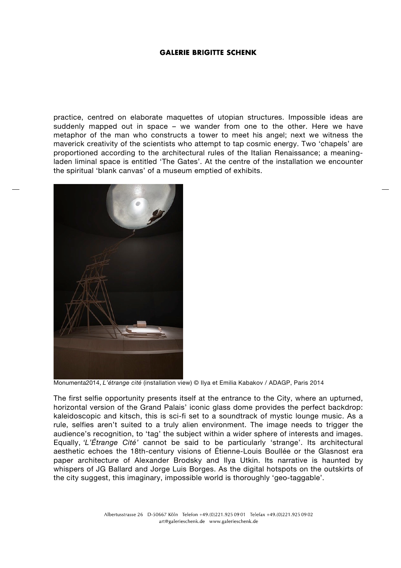## **GALERIE BRIGITTE SCHENK**

practice, centred on elaborate maquettes of utopian structures. Impossible ideas are suddenly mapped out in space – we wander from one to the other. Here we have metaphor of the man who constructs a tower to meet his angel; next we witness the maverick creativity of the scientists who attempt to tap cosmic energy. Two 'chapels' are proportioned according to the architectural rules of the Italian Renaissance; a meaningladen liminal space is entitled 'The Gates'. At the centre of the installation we encounter the spiritual 'blank canvas' of a museum emptied of exhibits.



Monumenta2014, *L'étrange cité* (installation view) © Ilya et Emilia Kabakov / ADAGP, Paris 2014

The first selfie opportunity presents itself at the entrance to the City, where an upturned, horizontal version of the Grand Palais' iconic glass dome provides the perfect backdrop: kaleidoscopic and kitsch, this is sci-fi set to a soundtrack of mystic lounge music. As a rule, selfies aren't suited to a truly alien environment. The image needs to trigger the audience's recognition, to 'tag' the subject within a wider sphere of interests and images. Equally, *'L'Étrange Cité'* cannot be said to be particularly 'strange'. Its architectural aesthetic echoes the 18th-century visions of Étienne-Louis Boullée or the Glasnost era paper architecture of Alexander Brodsky and Ilya Utkin. Its narrative is haunted by whispers of JG Ballard and Jorge Luis Borges. As the digital hotspots on the outskirts of the city suggest, this imaginary, impossible world is thoroughly 'geo-taggable'.